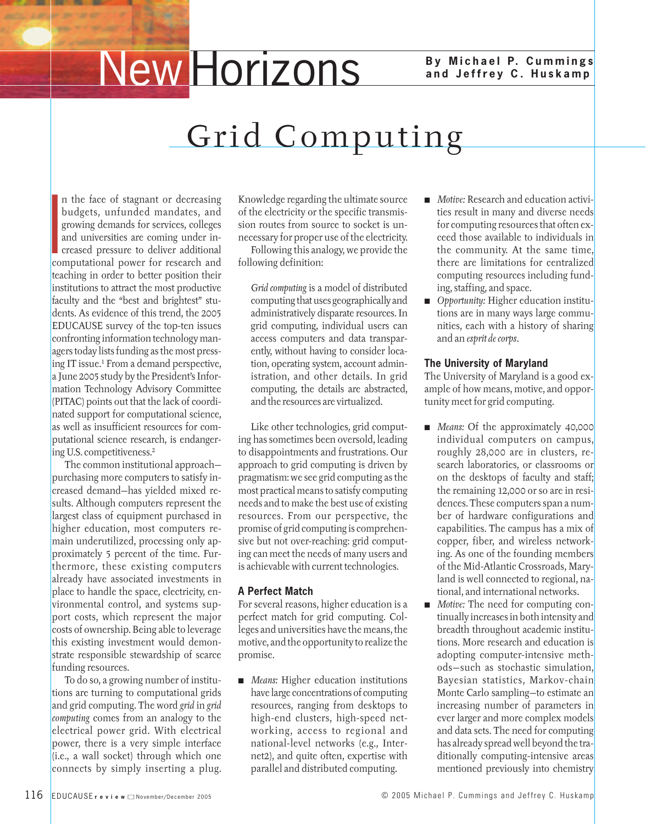# **New Horizons** By Michael P. Cummings

### **and Jeffrey C. Huskamp**

## Grid Computing

If the face of staghant of decreasing<br>budgets, unfunded mandates, and<br>growing demands for services, colleges<br>and universities are coming under in-<br>creased pressure to deliver additional<br>computational power for research and n the face of stagnant or decreasing budgets, unfunded mandates, and growing demands for services, colleges and universities are coming under increased pressure to deliver additional teaching in order to better position their institutions to attract the most productive faculty and the "best and brightest" students. As evidence of this trend, the 2005 EDUCAUSE survey of the top-ten issues confronting information technology managers today lists funding as the most pressing IT issue.1 From a demand perspective, a June 2005 study by the President's Information Technology Advisory Committee (PITAC) points out that the lack of coordinated support for computational science, as well as insufficient resources for computational science research, is endangering U.S. competitiveness.2

The common institutional approach purchasing more computers to satisfy increased demand—has yielded mixed results. Although computers represent the largest class of equipment purchased in higher education, most computers remain underutilized, processing only approximately 5 percent of the time. Furthermore, these existing computers already have associated investments in place to handle the space, electricity, environmental control, and systems support costs, which represent the major costs of ownership. Being able to leverage this existing investment would demonstrate responsible stewardship of scarce funding resources.

To do so, a growing number of institutions are turning to computational grids and grid computing. The word *grid* in *grid computing* comes from an analogy to the electrical power grid. With electrical power, there is a very simple interface (i.e., a wall socket) through which one connects by simply inserting a plug.

Knowledge regarding the ultimate source of the electricity or the specific transmission routes from source to socket is unnecessary for proper use of the electricity.

Following this analogy, we provide the following definition:

*Grid computing* is a model of distributed computing that uses geographically and administratively disparate resources. In grid computing, individual users can access computers and data transparently, without having to consider location, operating system, account administration, and other details. In grid computing, the details are abstracted, and the resources are virtualized.

Like other technologies, grid computing has sometimes been oversold, leading to disappointments and frustrations. Our approach to grid computing is driven by pragmatism: we see grid computing as the most practical means to satisfy computing needs and to make the best use of existing resources. From our perspective, the promise of grid computing is comprehensive but not over-reaching: grid computing can meet the needs of many users and is achievable with current technologies.

#### **A Perfect Match**

For several reasons, higher education is a perfect match for grid computing. Colleges and universities have the means, the motive, and the opportunity to realize the promise.

*Means:* Higher education institutions have large concentrations of computing resources, ranging from desktops to high-end clusters, high-speed networking, access to regional and national-level networks (e.g., Internet2), and quite often, expertise with parallel and distributed computing.

- *Motive:* Research and education activities result in many and diverse needs for computing resources that often exceed those available to individuals in the community. At the same time, there are limitations for centralized computing resources including funding, staffing, and space.
- *Opportunity:* Higher education institutions are in many ways large communities, each with a history of sharing and an *esprit de corps*.

#### **The University of Maryland**

The University of Maryland is a good example of how means, motive, and opportunity meet for grid computing.

- *Means:* Of the approximately 40,000 individual computers on campus, roughly 28,000 are in clusters, research laboratories, or classrooms or on the desktops of faculty and staff; the remaining 12,000 or so are in residences. These computers span a number of hardware configurations and capabilities. The campus has a mix of copper, fiber, and wireless networking. As one of the founding members of the Mid-Atlantic Crossroads, Maryland is well connected to regional, national, and international networks.
- *Motive:* The need for computing continually increases in both intensity and breadth throughout academic institutions. More research and education is adopting computer-intensive methods—such as stochastic simulation, Bayesian statistics, Markov-chain Monte Carlo sampling—to estimate an increasing number of parameters in ever larger and more complex models and data sets. The need for computing has already spread well beyond the traditionally computing-intensive areas mentioned previously into chemistry